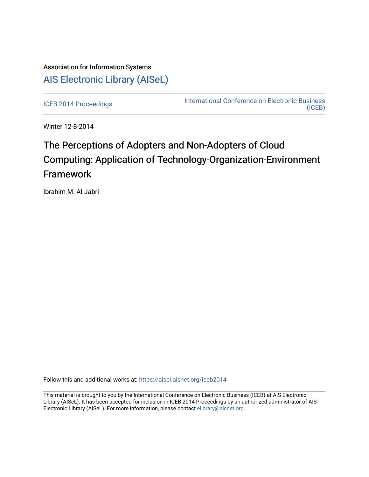## Association for Information Systems [AIS Electronic Library \(AISeL\)](https://aisel.aisnet.org/)

[ICEB 2014 Proceedings](https://aisel.aisnet.org/iceb2014) **International Conference on Electronic Business** [\(ICEB\)](https://aisel.aisnet.org/iceb) 

Winter 12-8-2014

# The Perceptions of Adopters and Non-Adopters of Cloud Computing: Application of Technology-Organization-Environment Framework

Ibrahim M. Al-Jabri

Follow this and additional works at: [https://aisel.aisnet.org/iceb2014](https://aisel.aisnet.org/iceb2014?utm_source=aisel.aisnet.org%2Ficeb2014%2F14&utm_medium=PDF&utm_campaign=PDFCoverPages)

This material is brought to you by the International Conference on Electronic Business (ICEB) at AIS Electronic Library (AISeL). It has been accepted for inclusion in ICEB 2014 Proceedings by an authorized administrator of AIS Electronic Library (AISeL). For more information, please contact [elibrary@aisnet.org.](mailto:elibrary@aisnet.org%3E)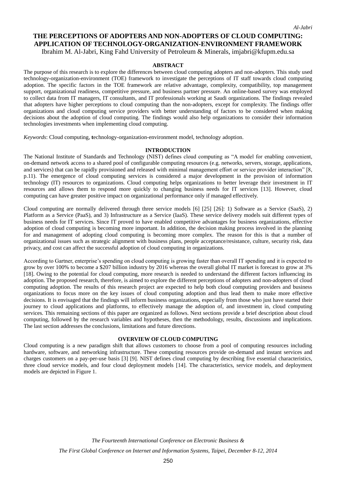### **THE PERCEPTIONS OF ADOPTERS AND NON-ADOPTERS OF CLOUD COMPUTING: APPLICATION OF TECHNOLOGY-ORGANIZATION-ENVIRONMENT FRAMEWORK**

Ibrahim M. Al-Jabri, King Fahd University of Petroleum & Minerals, imjabri@kfupm.edu.sa

#### **ABSTRACT**

The purpose of this research is to explore the differences between cloud computing adopters and non-adopters. This study used technology-organization-environment (TOE) framework to investigate the perceptions of IT staff towards cloud computing adoption. The specific factors in the TOE framework are relative advantage, complexity, compatibility, top management support, organizational readiness, competitive pressure, and business partner pressure. An online-based survey was employed to collect data from IT managers, IT consultants, and IT professionals working at Saudi organizations. The findings revealed that adopters have higher perceptions to cloud computing than the non-adopters, except for complexity. The findings offer organizations and cloud computing service providers with better understanding of factors to be considered when making decisions about the adoption of cloud computing. The findings would also help organizations to consider their information technologies investments when implementing cloud computing.

*Keywords*: Cloud computing, **t**echnology-organization-environment model, technology adoption.

#### **INTRODUCTION**

The National Institute of Standards and Technology (NIST) defines cloud computing as "A model for enabling convenient, on-demand network access to a shared pool of configurable computing resources (e.g. networks, servers, storage, applications, and services) that can be rapidly provisioned and released with minimal management effort or service provider interaction" [8, p.11). The emergence of cloud computing services is considered a major development in the provision of information technology (IT) resources to organizations. Cloud computing helps organizations to better leverage their investment in IT resources and allows them to respond more quickly to changing business needs for IT services [13]. However, cloud computing can have greater positive impact on organizational performance only if managed effectively.

Cloud computing are normally delivered through three service models [6] [25] [26]: 1) Software as a Service (SaaS), 2) Platform as a Service (PaaS), and 3) Infrastructure as a Service (IaaS). These service delivery models suit different types of business needs for IT services. Since IT proved to have enabled competitive advantages for business organizations, effective adoption of cloud computing is becoming more important. In addition, the decision making process involved in the planning for and management of adopting cloud computing is becoming more complex. The reason for this is that a number of organizational issues such as strategic alignment with business plans, people acceptance/resistance, culture, security risk, data privacy, and cost can affect the successful adoption of cloud computing in organizations.

According to Gartner, enterprise's spending on cloud computing is growing faster than overall IT spending and it is expected to grow by over 100% to become a \$207 billion industry by 2016 whereas the overall global IT market is forecast to grow at 3% [18]. Owing to the potential for cloud computing, more research is needed to understand the different factors influencing its adoption. The proposed research, therefore, is aimed to explore the different perceptions of adopters and non-adopters of cloud computing adoption. The results of this research project are expected to help both cloud computing providers and business organizations to focus more on the key issues of cloud computing adoption and thus lead them to make more effective decisions. It is envisaged that the findings will inform business organizations, especially from those who just have started their journey to cloud applications and platforms, to effectively manage the adoption of, and investment in, cloud computing services. This remaining sections of this paper are organized as follows. Next sections provide a brief description about cloud computing, followed by the research variables and hypotheses, then the methodology, results, discussions and implications. The last section addresses the conclusions, limitations and future directions.

#### **OVERVIEW OF CLOUD COMPUTING**

Cloud computing is a new paradigm shift that allows customers to choose from a pool of computing resources including hardware, software, and networking infrastructure. These computing resources provide on-demand and instant services and charges customers on a pay-per-use basis [3] [9]. NIST defines cloud computing by describing five essential characteristics, three cloud service models, and four cloud deployment models [14]. The characteristics, service models, and deployment models are depicted in Figure 1.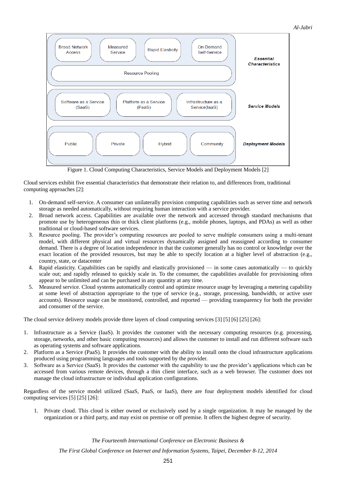#### *Al-Jabri*



Figure 1. Cloud Computing Characteristics, Service Models and Deployment Models [2]

Cloud services exhibit five essential characteristics that demonstrate their relation to, and differences from, traditional computing approaches [2]:

- 1. On-demand self-service. A consumer can unilaterally provision computing capabilities such as server time and network storage as needed automatically, without requiring human interaction with a service provider.
- 2. Broad network access. Capabilities are available over the network and accessed through standard mechanisms that promote use by heterogeneous thin or thick client platforms (e.g., mobile phones, laptops, and PDAs) as well as other traditional or cloud-based software services.
- 3. Resource pooling. The provider's computing resources are pooled to serve multiple consumers using a multi-tenant model, with different physical and virtual resources dynamically assigned and reassigned according to consumer demand. There is a degree of location independence in that the customer generally has no control or knowledge over the exact location of the provided resources, but may be able to specify location at a higher level of abstraction (e.g., country, state, or datacenter
- 4. Rapid elasticity. Capabilities can be rapidly and elastically provisioned in some cases automatically to quickly scale out; and rapidly released to quickly scale in. To the consumer, the capabilities available for provisioning often appear to be unlimited and can be purchased in any quantity at any time.
- 5. Measured service. Cloud systems automatically control and optimize resource usage by leveraging a metering capability at some level of abstraction appropriate to the type of service (e.g., storage, processing, bandwidth, or active user accounts). Resource usage can be monitored, controlled, and reported — providing transparency for both the provider and consumer of the service.

The cloud service delivery models provide three layers of cloud computing services [3] [5] [6] [25] [26]:

- 1. Infrastructure as a Service (IaaS). It provides the customer with the necessary computing resources (e.g. processing, storage, networks, and other basic computing resources) and allows the customer to install and run different software such as operating systems and software applications.
- 2. Platform as a Service (PaaS). It provides the customer with the ability to install onto the cloud infrastructure applications produced using programming languages and tools supported by the provider.
- 3. Software as a Service (SaaS). It provides the customer with the capability to use the provider's applications which can be accessed from various remote devices, through a thin client interface, such as a web browser. The customer does not manage the cloud infrastructure or individual application configurations.

Regardless of the service model utilized (SaaS, PaaS, or IaaS), there are four deployment models identified for cloud computing services [5] [25] [26]:

1. Private cloud. This cloud is either owned or exclusively used by a single organization. It may be managed by the organization or a third party, and may exist on premise or off premise. It offers the highest degree of security.

*The Fourteenth International Conference on Electronic Business &*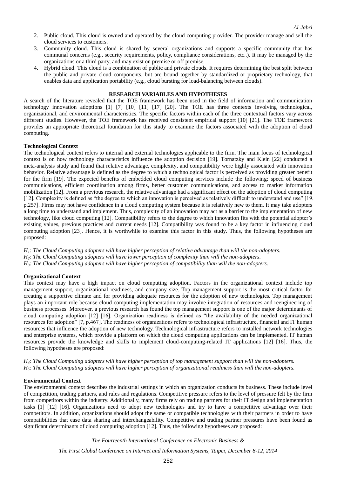- 2. Public cloud. This cloud is owned and operated by the cloud computing provider. The provider manage and sell the cloud services to customers.
- 3. Community cloud. This cloud is shared by several organizations and supports a specific community that has communal concerns (e.g., security requirements, policy, compliance considerations, etc..). It may be managed by the organizations or a third party, and may exist on premise or off premise.
- 4. Hybrid cloud. This cloud is a combination of public and private clouds. It requires determining the best split between the public and private cloud components, but are bound together by standardized or proprietary technology, that enables data and application portability (e.g., cloud bursting for load-balancing between clouds).

#### **RESEARCH VARIABLES AND HYPOTHESES**

A search of the literature revealed that the TOE framework has been used in the field of information and communication technology innovation adoptions [1] [7] [10] [11] [17] [20]. The TOE has three contexts involving technological, organizational, and environmental characteristics. The specific factors within each of the three contextual factors vary across different studies. However, the TOE framework has received consistent empirical support [10] [21]. The TOE framework provides an appropriate theoretical foundation for this study to examine the factors associated with the adoption of cloud computing.

#### **Technological Context**

The technological context refers to internal and external technologies applicable to the firm. The main focus of technological context is on how technology characteristics influence the adoption decision [19]. Tornatzky and Klein [22] conducted a meta-analysis study and found that relative advantage, complexity, and compatibility were highly associated with innovation behavior. Relative advantage is defined as the degree to which a technological factor is perceived as providing greater benefit for the firm [19]. The expected benefits of embedded cloud computing services include the following: speed of business communications, efficient coordination among firms, better customer communications, and access to market information mobilization [12]. From a previous research, the relative advantage had a significant effect on the adoption of cloud computing [12]. Complexity is defined as "the degree to which an innovation is perceived as relatively difficult to understand and use" [19, p.257]. Firms may not have confidence in a cloud computing system because it is relatively new to them. It may take adopters a long time to understand and implement. Thus, complexity of an innovation may act as a barrier to the implementation of new technology, like cloud computing [12]. Compatibility refers to the degree to which innovation fits with the potential adopter's existing values, previous practices and current needs [12]. Compatibility was found to be a key factor in influencing cloud computing adoption [23]. Hence, it is worthwhile to examine this factor in this study. Thus, the following hypotheses are proposed:

*H1: The Cloud Computing adopters will have higher perception of relative advantage than will the non-adopters. H2: The Cloud Computing adopters will have lower perception of complexity than will the non-adopters. H3: The Cloud Computing adopters will have higher perception of compatibility than will the non-adopters.*

#### **Organizational Context**

This context may have a high impact on cloud computing adoption. Factors in the organizational context include top management support, organizational readiness, and company size. Top management support is the most critical factor for creating a supportive climate and for providing adequate resources for the adoption of new technologies. Top management plays an important role because cloud computing implementation may involve integration of resources and reengineering of business processes. Moreover, a previous research has found the top management support is one of the major determinants of cloud computing adoption [12] [16]. Organization readiness is defined as "the availability of the needed organizational resources for adoption" [7, p.467]. The readiness of organizations refers to technological infrastructure, financial and IT human resources that influence the adoption of new technology. Technological infrastructure refers to installed network technologies and enterprise systems, which provide a platform on which the cloud computing applications can be implemented. IT human resources provide the knowledge and skills to implement cloud-computing-related IT applications [12] [16]. Thus, the following hypotheses are proposed:

*H4: The Cloud Computing adopters will have higher perception of top management support than will the non-adopters. H5: The Cloud Computing adopters will have higher perception of organizational readiness than will the non-adopters.*

#### **Environmental Context**

The environmental context describes the industrial settings in which an organization conducts its business. These include level of competition, trading partners, and rules and regulations. Competitive pressure refers to the level of pressure felt by the firm from competitors within the industry. Additionally, many firms rely on trading partners for their IT design and implementation tasks [1] [12] [16]. Organizations need to adopt new technologies and try to have a competitive advantage over their competitors. In addition, organizations should adopt the same or compatible technologies with their partners in order to have compatibilities that ease data sharing and interchangeability. Competitive and trading partner pressures have been found as significant determinants of cloud computing adoption [12]. Thus, the following hypotheses are proposed:

*The Fourteenth International Conference on Electronic Business &*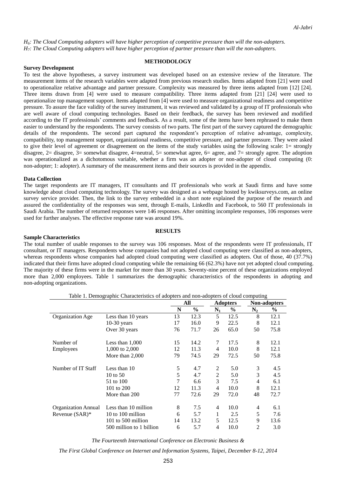*H6: The Cloud Computing adopters will have higher perception of competitive pressure than will the non-adopters. H7: The Cloud Computing adopters will have higher perception of partner pressure than will the non-adopters.*

#### **METHODOLOGY**

#### **Survey Development**

To test the above hypotheses, a survey instrument was developed based on an extensive review of the literature. The measurement items of the research variables were adapted from previous research studies. Items adapted from [21] were used to operationalize relative advantage and partner pressure. Complexity was measured by three items adapted from [12] [24]. Three items drawn from [4] were used to measure compatibility. Three items adapted from [21] [24] were used to operationalize top management support. Items adapted from [4] were used to measure organizational readiness and competitive pressure. To assure the face validity of the survey instrument, it was reviewed and validated by a group of IT professionals who are well aware of cloud computing technologies. Based on their feedback, the survey has been reviewed and modified according to the IT professionals' comments and feedback. As a result, some of the items have been rephrased to make them easier to understand by the respondents. The survey consists of two parts. The first part of the survey captured the demographic details of the respondents. The second part captured the respondent's perception of relative advantage, complexity, compatibility, top management support, organizational readiness, competitive pressure, and partner pressure. They were asked to give their level of agreement or disagreement on the items of the study variables using the following scale: 1= strongly disagree,  $2=$  disagree,  $3=$  somewhat disagree,  $4=$ neutral,  $5=$  somewhat agree,  $6=$  agree, and  $7=$  strongly agree. The adoption was operationalized as a dichotomous variable, whether a firm was an adopter or non-adopter of cloud computing (0: non-adopter; 1: adopter). A summary of the measurement items and their sources is provided in the appendix.

#### **Data Collection**

The target respondents are IT managers, IT consultants and IT professionals who work at Saudi firms and have some knowledge about cloud computing technology. The survey was designed as a webpage hosted by kwiksurveys.com, an online survey service provider. Then, the link to the survey embedded in a short note explained the purpose of the research and assured the confidentiality of the responses was sent, through E-mails, LinkedIn and Facebook, to 560 IT professionals in Saudi Arabia. The number of returned responses were 146 responses. After omitting incomplete responses, 106 responses were used for further analyses. The effective response rate was around 19%.

#### **RESULTS**

#### **Sample Characteristics**

The total number of usable responses to the survey was 106 responses. Most of the respondents were IT professionals, IT consultant, or IT managers. Respondents whose companies had not adopted cloud computing were classified as non-adopters, whereas respondents whose companies had adopted cloud computing were classified as adopters. Out of those, 40 (37.7%) indicated that their firms have adopted cloud computing while the remaining 66 (62.3%) have not yet adopted cloud computing. The majority of these firms were in the market for more than 30 years. Seventy-nine percent of these organizations employed more than 2,000 employees. Table 1 summarizes the demographic characteristics of the respondents in adopting and non-adopting organizations.

|                            |                          | All |               | <b>Adopters</b> |               | Non-adopters   |      |
|----------------------------|--------------------------|-----|---------------|-----------------|---------------|----------------|------|
|                            |                          | N   | $\frac{6}{6}$ | $\mathbf{N}_1$  | $\frac{6}{9}$ | $\mathbf{N}_2$ | $\%$ |
| Organization Age           | Less than 10 years       | 13  | 12.3          | 5               | 12.5          | 8              | 12.1 |
|                            | $10-30$ years            | 17  | 16.0          | 9               | 22.5          | 8              | 12.1 |
|                            | Over 30 years            | 76  | 71.7          | 26              | 65.0          | 50             | 75.8 |
| Number of                  | Less than $1,000$        | 15  | 14.2          | 7               | 17.5          | 8              | 12.1 |
| Employees                  | 1,000 to 2,000           | 12  | 11.3          | 4               | 10.0          | 8              | 12.1 |
|                            | More than 2,000          | 79  | 74.5          | 29              | 72.5          | 50             | 75.8 |
| Number of IT Staff         | Less than 10             | 5   | 4.7           | 2               | 5.0           | 3              | 4.5  |
|                            | 10 to $50$               | 5   | 4.7           | 2               | 5.0           | 3              | 4.5  |
|                            | 51 to 100                | 7   | 6.6           | 3               | 7.5           | 4              | 6.1  |
|                            | 101 to 200               | 12  | 11.3          | $\overline{4}$  | 10.0          | 8              | 12.1 |
|                            | More than 200            | 77  | 72.6          | 29              | 72.0          | 48             | 72.7 |
| <b>Organization Annual</b> | Less than 10 million     | 8   | 7.5           | 4               | 10.0          | 4              | 6.1  |
| Revenue $(SAR)^*$          | 10 to 100 million        | 6   | 5.7           | 1               | 2.5           | 5              | 7.6  |
|                            | 101 to 500 million       | 14  | 13.2          | 5               | 12.5          | 9              | 13.6 |
|                            | 500 million to 1 billion | 6   | 5.7           | 4               | 10.0          | $\overline{2}$ | 3.0  |

Table 1. Demographic Characteristics of adopters and non-adopters of cloud computing

*The Fourteenth International Conference on Electronic Business &*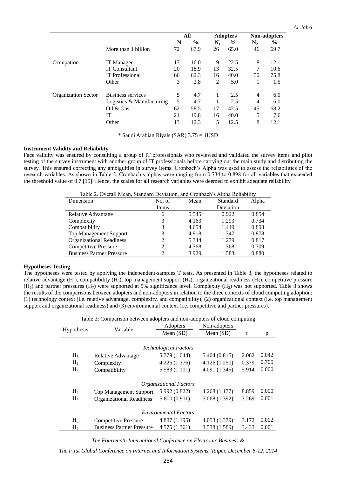*Al-Jabri*

|                            |                           | All |               | <b>Adopters</b> |               | Non-adopters   |               |
|----------------------------|---------------------------|-----|---------------|-----------------|---------------|----------------|---------------|
|                            |                           | N   | $\frac{0}{0}$ | $\mathbf{N}_1$  | $\frac{0}{0}$ | $\mathrm{N}_2$ | $\frac{6}{6}$ |
|                            | More than 1 billion       | 72  | 67.9          | 26              | 65.0          | 46             | 69.7          |
| Occupation                 | IT Manager                | 17  | 16.0          | 9               | 22.5          | 8              | 12.1          |
|                            | <b>IT Consultant</b>      | 20  | 18.9          | 13              | 32.5          | 7              | 10.6          |
|                            | <b>IT</b> Professional    | 66  | 62.3          | 16              | 40.0          | 50             | 75.8          |
|                            | Other                     | 3   | 2.8           | 2               | 5.0           |                | 1.5           |
| <b>Organization Sector</b> | Business services         | 5   | 4.7           | 1               | 2.5           | $\overline{4}$ | 6.0           |
|                            | Logistics & Manufacturing | 5   | 4.7           |                 | 2.5           | $\overline{4}$ | 6.0           |
|                            | Oil $&$ Gas               | 62  | 58.5          | 17              | 42.5          | 45             | 68.2          |
|                            | IT                        | 21  | 19.8          | 16              | 40.0          | 5              | 7.6           |
|                            | Other                     | 13  | 12.3          | 5               | 12.5          | 8              | 12.1          |

\* Saudi Arabian Riyals (SAR) 3.75 = 1USD

#### **Instrument Validity and Reliability**

Face validity was ensured by consulting a group of IT professionals who reviewed and validated the survey items and pilot testing of the survey instrument with another group of IT professionals before carrying out the main study and distributing the survey. This ensured correcting any ambiguities in survey items. Cronbach's Alpha was used to assess the reliabilities of the research variables. As shown in Table 2, Cronbach's alphas were ranging from 0.734 to 0.898 for all variables that exceeded the threshold value of 0.7 [15]. Hence, the scales for all research variables were deemed to exhibit adequate reliability.

| Table 2. Overall Mean, Standard Deviation, and Cronbach's Alpha Reliability |  |  |  |
|-----------------------------------------------------------------------------|--|--|--|
|-----------------------------------------------------------------------------|--|--|--|

| Dimension                        | No. of | Mean  | Standard  | Alpha |
|----------------------------------|--------|-------|-----------|-------|
|                                  | Items  |       | Deviation |       |
| Relative Advantage               | 6      | 5.545 | 0.922     | 0.854 |
| Complexity                       | 3      | 4.163 | 1.293     | 0.734 |
| Compatibility                    | 3      | 4.654 | 1.449     | 0.898 |
| <b>Top Management Support</b>    | 3      | 4.918 | 1.347     | 0.878 |
| <b>Organizational Readiness</b>  |        | 5.344 | 1.279     | 0.817 |
| <b>Competitive Pressure</b>      |        | 4.368 | 1.368     | 0.709 |
| <b>Business Partner Pressure</b> |        | 3.929 | 1.583     | 0.880 |

#### **Hypotheses Testing**

The hypotheses were tested by applying the independent-samples T tests. As presented in Table 3, the hypotheses related to relative advantage  $(H_1)$ , compatibility  $(H_3)$ , top management support  $(H_4)$ , organizational readiness  $(H_5)$ , competitive pressure  $(H<sub>6</sub>)$  and partner pressures  $(H<sub>7</sub>)$  were supported at 5% significance level. Complexity  $(H<sub>2</sub>)$  was not supported. Table 3 shows the results of the comparisons between adopters and non-adopters in relation to the three contexts of cloud computing adoption: (1) technology context (i.e. relative advantage, complexity, and compatibility), (2) organizational context (i.e. top management support and organizational readiness) and (3) environmental context (i.e. competitive and partner pressures).

| Table 3: Comparison between adopters and non-adopters of cloud computing |               |               |       |       |  |  |  |  |
|--------------------------------------------------------------------------|---------------|---------------|-------|-------|--|--|--|--|
|                                                                          | Adopters      | Non-adopters  |       |       |  |  |  |  |
|                                                                          | Mean $(SD)$   | Mean $(SD)$   | t     | p     |  |  |  |  |
|                                                                          |               |               |       |       |  |  |  |  |
| <b>Technological Factors</b>                                             |               |               |       |       |  |  |  |  |
| Relative Advantage                                                       | 5.779 (1.044) | 5.404 (0.815) | 2.062 | 0.042 |  |  |  |  |
| Complexity                                                               | 4.225(1.376)  | 4.126(1.250)  | 0.379 | 0.705 |  |  |  |  |
| Compatibility                                                            | 5.583 (1.101) | 4.091 (1.345) | 5.914 | 0.000 |  |  |  |  |
|                                                                          |               |               |       |       |  |  |  |  |
| <b>Organizational Factors</b>                                            |               |               |       |       |  |  |  |  |
| <b>Top Management Support</b>                                            | 5.992 (0.822) | 4.268(1.177)  | 8.859 | 0.000 |  |  |  |  |
| <b>Organizational Readiness</b>                                          | 5.800 (0.911) | 5.068 (1.392) | 3.269 | 0.001 |  |  |  |  |
|                                                                          |               |               |       |       |  |  |  |  |
| <b>Environmental Factors</b>                                             |               |               |       |       |  |  |  |  |
| <b>Competitive Pressure</b>                                              | 4.887(1.195)  | 4.053 (1.379) | 3.172 | 0.002 |  |  |  |  |
| <b>Business Partner Pressure</b>                                         | 4.575(1.361)  | 3.538 (1.589) | 3.433 | 0.001 |  |  |  |  |
|                                                                          | Variable      |               |       |       |  |  |  |  |

*The Fourteenth International Conference on Electronic Business &*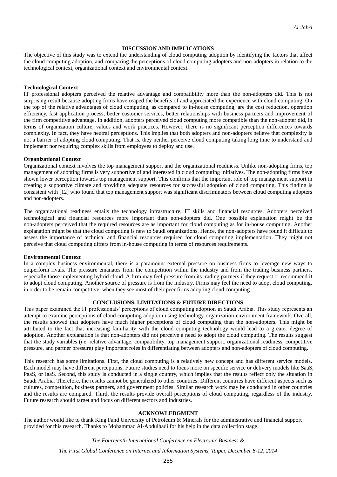#### **DISCUSSION AND IMPLICATIONS**

The objective of this study was to extend the understanding of cloud computing adoption by identifying the factors that affect the cloud computing adoption, and comparing the perceptions of cloud computing adopters and non-adopters in relation to the technological context, organizational context and environmental context.

#### **Technological Context**

IT professional adopters perceived the relative advantage and compatibility more than the non-adopters did. This is not surprising result because adopting firms have reaped the benefits of and appreciated the experience with cloud computing. On the top of the relative advantages of cloud computing, as compared to in-house computing, are the cost reduction, operation efficiency, fast application process, better customer services, better relationships with business partners and improvement of the firm competitive advantage. In addition, adopters perceived cloud computing more compatible than the non-adopter did, in terms of organization culture, values and work practices. However, there is no significant perception differences towards complexity. In fact, they have neutral perceptions. This implies that both adopters and non-adopters believe that complexity is not a barrier of adopting cloud computing. That is, they neither perceive cloud computing taking long time to understand and implement nor requiring complex skills from employees to deploy and use.

#### **Organizational Context**

Organizational context involves the top management support and the organizational readiness. Unlike non-adopting firms, top management of adopting firms is very supportive of and interested in cloud computing initiatives. The non-adopting firms have shown lower perception towards top management support. This confirms that the important role of top management support in creating a supportive climate and providing adequate resources for successful adoption of cloud computing. This finding is consistent with [12] who found that top management support was significant discriminators between cloud computing adopters and non-adopters.

The organizational readiness entails the technology infrastructure, IT skills and financial resources. Adopters perceived technological and financial resources more important than non-adopters did. One possible explanation might be the non-adopters perceived that the required resources are as important for cloud computing as for in-house computing. Another explanation might be that the cloud computing is new to Saudi organizations. Hence, the non-adopters have found it difficult to assess the importance of technical and financial resources required for cloud computing implementation. They might not perceive that cloud computing differs from in-house computing in terms of resources requirements.

#### **Environmental Context**

In a complex business environmental, there is a paramount external pressure on business firms to leverage new ways to outperform rivals. The pressure emanates from the competition within the industry and from the trading business partners, especially those implementing hybrid cloud. A firm may feel pressure from its trading partners if they request or recommend it to adopt cloud computing. Another source of pressure is from the industry. Firms may feel the need to adopt cloud computing, in order to be remain competitive, when they see most of their peer firms adopting cloud computing.

#### **CONCLUSIONS, LIMITATIONS & FUTURE DIRECTIONS**

This paper examined the IT professionals' perceptions of cloud computing adoption in Saudi Arabia. This study represents an attempt to examine perceptions of cloud computing adoption using technology-organization-environment framework. Overall, the results showed that adopters have much higher perceptions of cloud computing than the non-adopters. This might be attributed to the fact that increasing familiarity with the cloud computing technology would lead to a greater degree of adoption. Another explanation is that non-adopters did not perceive a need to adopt the cloud computing. The results suggest that the study variables (i.e. relative advantage, compatibility, top management support, organizational readiness, competitive pressure, and partner pressure) play important roles in differentiating between adopters and non-adopters of cloud computing.

This research has some limitations. First, the cloud computing is a relatively new concept and has different service models. Each model may have different perceptions. Future studies need to focus more on specific service or delivery models like SaaS, PaaS, or IaaS. Second, this study is conducted in a single country, which implies that the results reflect only the situation in Saudi Arabia. Therefore, the results cannot be generalized to other countries. Different countries have different aspects such as cultures, competition, business partners, and government policies. Similar research work may be conducted in other countries and the results are compared. Third, the results provide overall perceptions of cloud computing, regardless of the industry. Future research should target and focus on different sectors and industries.

#### **ACKNOWLEDGMENT**

The author would like to thank King Fahd University of Petroleum & Minerals for the administrative and financial support provided for this research. Thanks to Mohammad Al-Abdulhadi for his help in the data collection stage.

#### *The Fourteenth International Conference on Electronic Business &*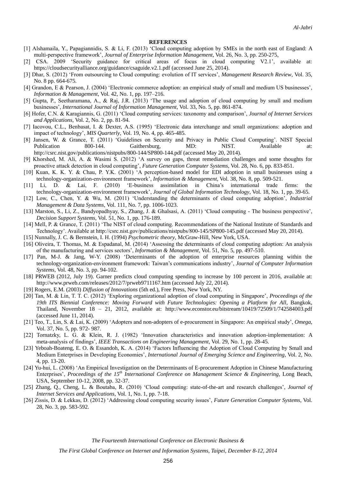#### **REFERENCES**

- [1] Alshamaila, Y., Papagiannidis, S. & Li, F. (2013) 'Cloud computing adoption by SMEs in the north east of England: A multi-perspective framework', *Journal of Enterprise Information Management*, Vol. 26, No. 3, pp. 250-275,
- [2] CSA. 2009 'Security guidance for critical areas of focus in cloud computing V2.1', available at: https://cloudsecurityalliance.org/guidance/csaguide.v2.1.pdf (accessed June 25, 2014).
- [3] Dhar, S. (2012) 'From outsourcing to Cloud computing: evolution of IT services', *Management Research Review*, Vol. 35, No. 8 pp. 664-675.
- [4] Grandon, E & Pearson, J. (2004) 'Electronic commerce adoption: an empirical study of small and medium US businesses', *Information & Management*, Vol. 42, No. 1, pp. 197–216.
- [5] Gupta, P., Seetharamana, A., & Raj, J.R. (2013) 'The usage and adoption of cloud computing by small and medium businesses', *International Journal of Information Management*, Vol. 33, No. 5, pp. 861-874.
- [6] Hofer, C.N. & Karagiannis, G. (2011) 'Cloud computing services: taxonomy and comparison', *Journal of Internet Services and Applications*, Vol. 2, No. 2, pp. 81-94.
- [7] Iacovou, C.L., Benbasat, I. & Dexter, A.S. (1995) 'Electronic data interchange and small organizations: adoption and impact of technology', *MIS Quarterly*, Vol. 19, No. 4, pp. 465-485.
- [8] Jansen, W. & Grance, T. (2011) 'Guidelines on Security and Privacy in Public Cloud Computing'. NIST Special Publication 800-144. Gaithersburg, MD: NIST. Available at: http://csrc.nist.gov/publications/nistpubs/800-144/SP800-144.pdf (accessed May 20, 2014).
- [9] Khorshed, M. Ali, A. & Wasimi S. (2012) 'A survey on gaps, threat remediation challenges and some thoughts for proactive attack detection in cloud computing', *Future Generation Computer Systems*, Vol. 28, No. 6, pp. 833-851.
- [10] Kuan, K. K. Y. & Chau, P. Y.K. (2001) 'A perception-based model for EDI adoption in small businesses using a technology-organization-environment framework', *Information & Management*, Vol. 38, No. 8, pp. 509-521.
- [11] Li, D. & Lai, F. (2010) 'E-business assimilation in China's international trade firms: the technology-organization-environment framework', *Journal of Global Information Technology*, Vol. 18, No. 1, pp. 39-65.
- [12] Low, C., Chen, Y. & Wu, M. (2011) 'Understanding the determinants of cloud computing adoption', *Industrial Management & Data Systems*, Vol. 111, No. 7, pp. 1006-1023.
- [13] Marston, S., Li, Z., Bandyopadhyay, S., Zhang, J. & Ghalsasi, A. (2011) 'Cloud computing The business perspective', *Decision Support Systems*, Vol. 51, No. 1, pp. 176-189.
- [14] Mell, P. & Grance, T. (2011) 'The NIST of cloud computing. Recommendations of the National Institute of Standards and Technology'. Available at http://csrc.nist.gov/publications/nistpubs/800-145/SP800-145.pdf (accessed May 20, 2014).
- [15] Nunnally, J. C. & Bernstein, I. H. (1994) *Psychometric theory*, McGraw-Hill, New York, USA.
- [16] Oliveira, T. Thomas, M. & Espadanal, M. (2014) 'Assessing the determinants of cloud computing adoption: An analysis of the manufacturing and services sectors', *Information & Management*, Vol. 51, No. 5, pp. 497-510.
- [17] Pan, M-J. & Jang, W-Y. (2008) 'Determinants of the adoption of enterprise resources planning within the technology-organization-environment framework: Taiwan's communications industry', *Journal of Computer Information Systems*, Vol. 48, No. 3, pp. 94-102.
- [18] PRWEB (2012, July 19). Garner predicts cloud computing spending to increase by 100 percent in 2016, available at: http://www.prweb.com/releases/2012/7/prweb9711167.htm (accessed July 22, 2014).
- [19] Rogers, E.M. (2003) *Diffusion of Innovations* (5th ed.), Free Press, New York, NY.
- [20] Tan, M. & Lin, T. T. C. (2012) 'Exploring organizational adoption of cloud computing in Singapore', *Proceedings of the 19th ITS Biennial Conference: Moving Forward with Future Technologies: Opening a Platform for All*, Bangkok, Thailand, November 18 – 21, 2012, available at: http://www.econstor.eu/bitstream/10419/72509/1/742584003.pdf (accessed June 11, 2014).
- [21] Teo, T., Lin, S. & Lai, K. (2009) 'Adopters and non-adopters of e-procurement in Singapore: An empirical study', *Omega*, Vol. 37, No. 5, pp. 972- 987.
- [22] Tornatzky, L. G. & Klein, R. J. (1982) 'Innovation characteristics and innovation adoption-implementation: A meta-analysis of findings', *IEEE Transactions on Engineering Management*, Vol. 29, No. 1, pp. 28-45.
- [23] Yeboah-Boateng, E. O. & Essandoh, K. A. (2014) 'Factors Influencing the Adoption of Cloud Computing by Small and Medium Enterprises in Developing Economies', *International Journal of Emerging Science and Engineering*, Vol. 2, No. 4, pp. 13-20.
- [24] Yu-hui, L. (2008) 'An Empirical Investigation on the Determinants of E-procurement Adoption in Chinese Manufacturing Enterprises', *Proceedings of the 15th International Conference on Management Science & Engineering*, Long Beach, USA, September 10-12, 2008, pp. 32-37.
- [25] Zhang, Q., Cheng, L. & Boutaba, R. (2010) 'Cloud computing: state-of-the-art and research challenges', *Journal of Internet Services and Applications*, Vol. 1, No. 1, pp. 7-18.
- [26] Zissis, D. & Lekkas, D. (2012) 'Addressing cloud computing security issues', *Future Generation Computer Systems*, Vol. 28, No. 3, pp. 583-592.